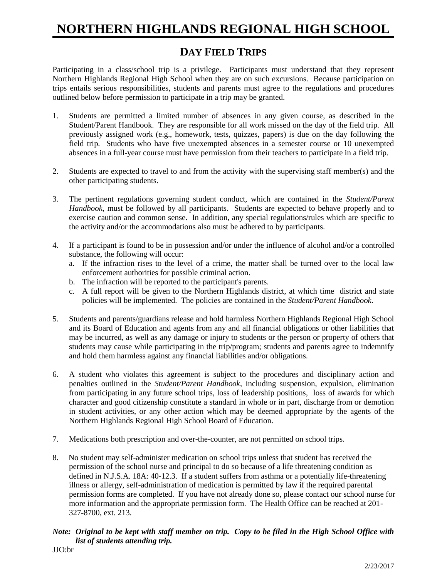## **NORTHERN HIGHLANDS REGIONAL HIGH SCHOOL**

### **DAY FIELD TRIPS**

Participating in a class/school trip is a privilege. Participants must understand that they represent Northern Highlands Regional High School when they are on such excursions. Because participation on trips entails serious responsibilities, students and parents must agree to the regulations and procedures outlined below before permission to participate in a trip may be granted.

- 1. Students are permitted a limited number of absences in any given course, as described in the Student/Parent Handbook. They are responsible for all work missed on the day of the field trip. All previously assigned work (e.g., homework, tests, quizzes, papers) is due on the day following the field trip. Students who have five unexempted absences in a semester course or 10 unexempted absences in a full-year course must have permission from their teachers to participate in a field trip.
- 2. Students are expected to travel to and from the activity with the supervising staff member(s) and the other participating students.
- 3. The pertinent regulations governing student conduct, which are contained in the *Student/Parent Handbook*, must be followed by all participants. Students are expected to behave properly and to exercise caution and common sense. In addition, any special regulations/rules which are specific to the activity and/or the accommodations also must be adhered to by participants.
- 4. If a participant is found to be in possession and/or under the influence of alcohol and/or a controlled substance, the following will occur:
	- a. If the infraction rises to the level of a crime, the matter shall be turned over to the local law enforcement authorities for possible criminal action.
	- b. The infraction will be reported to the participant's parents.
	- c. A full report will be given to the Northern Highlands district, at which time district and state policies will be implemented. The policies are contained in the *Student/Parent Handbook*.
- 5. Students and parents/guardians release and hold harmless Northern Highlands Regional High School and its Board of Education and agents from any and all financial obligations or other liabilities that may be incurred, as well as any damage or injury to students or the person or property of others that students may cause while participating in the trip/program; students and parents agree to indemnify and hold them harmless against any financial liabilities and/or obligations.
- 6. A student who violates this agreement is subject to the procedures and disciplinary action and penalties outlined in the *Student/Parent Handbook*, including suspension, expulsion, elimination from participating in any future school trips, loss of leadership positions, loss of awards for which character and good citizenship constitute a standard in whole or in part, discharge from or demotion in student activities, or any other action which may be deemed appropriate by the agents of the Northern Highlands Regional High School Board of Education.
- 7. Medications both prescription and over-the-counter, are not permitted on school trips.
- 8. No student may self-administer medication on school trips unless that student has received the permission of the school nurse and principal to do so because of a life threatening condition as defined in N.J.S.A. 18A: 40-12.3. If a student suffers from asthma or a potentially life-threatening illness or allergy, self-administration of medication is permitted by law if the required parental permission forms are completed. If you have not already done so, please contact our school nurse for more information and the appropriate permission form. The Health Office can be reached at 201- 327-8700, ext. 213.

#### *Note: Original to be kept with staff member on trip. Copy to be filed in the High School Office with list of students attending trip.* JJO:br

2/23/2017